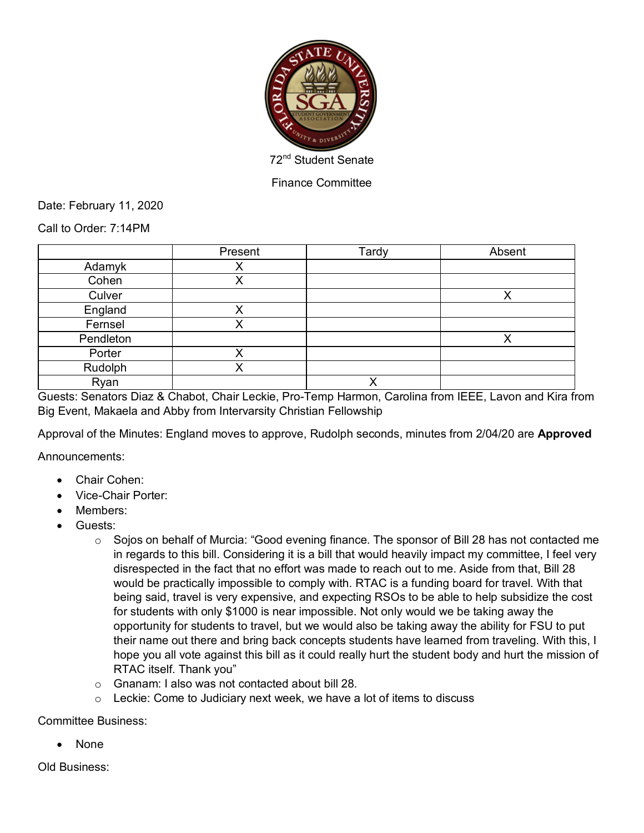

Finance Committee

Date: February 11, 2020

Call to Order: 7:14PM

|           | Present | Tardy | Absent |
|-----------|---------|-------|--------|
| Adamyk    |         |       |        |
| Cohen     |         |       |        |
| Culver    |         |       |        |
| England   |         |       |        |
| Fernsel   |         |       |        |
| Pendleton |         |       |        |
| Porter    |         |       |        |
| Rudolph   |         |       |        |
| Ryan      |         | v     |        |

Guests: Senators Diaz & Chabot, Chair Leckie, Pro-Temp Harmon, Carolina from IEEE, Lavon and Kira from Big Event, Makaela and Abby from Intervarsity Christian Fellowship

Approval of the Minutes: England moves to approve, Rudolph seconds, minutes from 2/04/20 are **Approved**

Announcements:

- Chair Cohen:
- Vice-Chair Porter:
- Members:
- Guests:
	- $\circ$  Sojos on behalf of Murcia: "Good evening finance. The sponsor of Bill 28 has not contacted me in regards to this bill. Considering it is a bill that would heavily impact my committee, I feel very disrespected in the fact that no effort was made to reach out to me. Aside from that, Bill 28 would be practically impossible to comply with. RTAC is a funding board for travel. With that being said, travel is very expensive, and expecting RSOs to be able to help subsidize the cost for students with only \$1000 is near impossible. Not only would we be taking away the opportunity for students to travel, but we would also be taking away the ability for FSU to put their name out there and bring back concepts students have learned from traveling. With this, I hope you all vote against this bill as it could really hurt the student body and hurt the mission of RTAC itself. Thank you"
	- o Gnanam: I also was not contacted about bill 28.
	- $\circ$  Leckie: Come to Judiciary next week, we have a lot of items to discuss

## Committee Business:

• None

Old Business: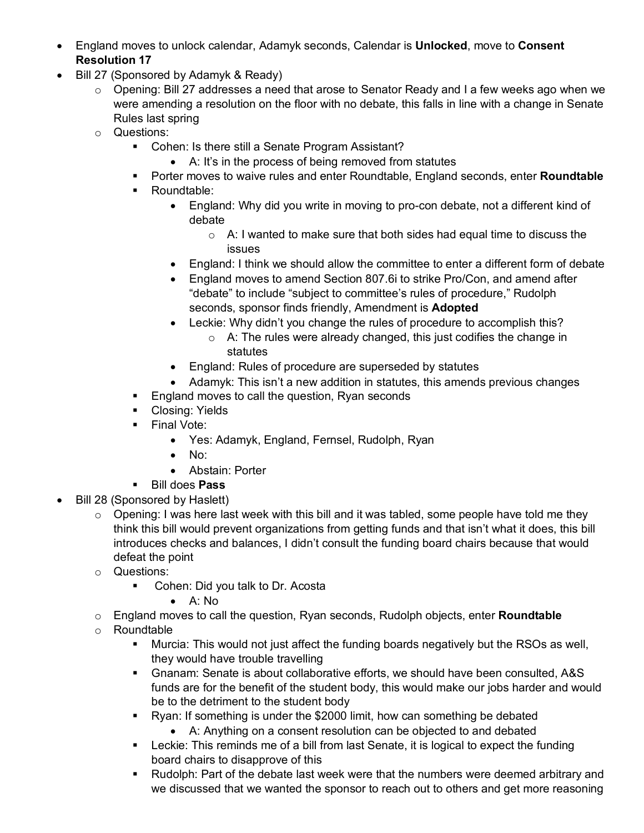- England moves to unlock calendar, Adamyk seconds, Calendar is **Unlocked**, move to **Consent Resolution 17**
- Bill 27 (Sponsored by Adamyk & Ready)
	- $\circ$  Opening: Bill 27 addresses a need that arose to Senator Ready and I a few weeks ago when we were amending a resolution on the floor with no debate, this falls in line with a change in Senate Rules last spring
	- o Questions:
		- Cohen: Is there still a Senate Program Assistant?
			- A: It's in the process of being removed from statutes
		- § Porter moves to waive rules and enter Roundtable, England seconds, enter **Roundtable**
		- Roundtable:
			- England: Why did you write in moving to pro-con debate, not a different kind of debate
				- o A: I wanted to make sure that both sides had equal time to discuss the issues
			- England: I think we should allow the committee to enter a different form of debate
			- England moves to amend Section 807.6i to strike Pro/Con, and amend after "debate" to include "subject to committee's rules of procedure," Rudolph seconds, sponsor finds friendly, Amendment is **Adopted**
			- Leckie: Why didn't you change the rules of procedure to accomplish this?
				- o A: The rules were already changed, this just codifies the change in statutes
			- England: Rules of procedure are superseded by statutes
			- Adamyk: This isn't a new addition in statutes, this amends previous changes
		- England moves to call the question, Ryan seconds
		- Closing: Yields
		- Final Vote:
			- Yes: Adamyk, England, Fernsel, Rudolph, Ryan
			- No:
			- Abstain: Porter
		- § Bill does **Pass**
- Bill 28 (Sponsored by Haslett)
	- $\circ$  Opening: I was here last week with this bill and it was tabled, some people have told me they think this bill would prevent organizations from getting funds and that isn't what it does, this bill introduces checks and balances, I didn't consult the funding board chairs because that would defeat the point
	- o Questions:
		- Cohen: Did you talk to Dr. Acosta
			- A: No
	- o England moves to call the question, Ryan seconds, Rudolph objects, enter **Roundtable**
	- o Roundtable
		- § Murcia: This would not just affect the funding boards negatively but the RSOs as well, they would have trouble travelling
		- § Gnanam: Senate is about collaborative efforts, we should have been consulted, A&S funds are for the benefit of the student body, this would make our jobs harder and would be to the detriment to the student body
		- § Ryan: If something is under the \$2000 limit, how can something be debated
			- A: Anything on a consent resolution can be objected to and debated
		- Leckie: This reminds me of a bill from last Senate, it is logical to expect the funding board chairs to disapprove of this
		- § Rudolph: Part of the debate last week were that the numbers were deemed arbitrary and we discussed that we wanted the sponsor to reach out to others and get more reasoning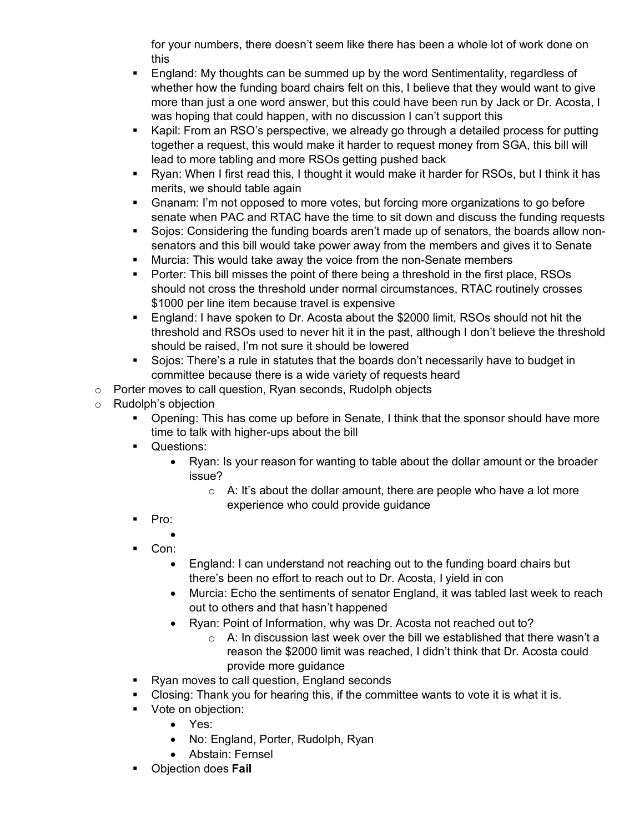for your numbers, there doesn't seem like there has been a whole lot of work done on this

- § England: My thoughts can be summed up by the word Sentimentality, regardless of whether how the funding board chairs felt on this, I believe that they would want to give more than just a one word answer, but this could have been run by Jack or Dr. Acosta, I was hoping that could happen, with no discussion I can't support this
- Kapil: From an RSO's perspective, we already go through a detailed process for putting together a request, this would make it harder to request money from SGA, this bill will lead to more tabling and more RSOs getting pushed back
- Ryan: When I first read this, I thought it would make it harder for RSOs, but I think it has merits, we should table again
- Gnanam: I'm not opposed to more votes, but forcing more organizations to go before senate when PAC and RTAC have the time to sit down and discuss the funding requests
- § Sojos: Considering the funding boards aren't made up of senators, the boards allow nonsenators and this bill would take power away from the members and gives it to Senate
- **■** Murcia: This would take away the voice from the non-Senate members
- Porter: This bill misses the point of there being a threshold in the first place, RSOs should not cross the threshold under normal circumstances, RTAC routinely crosses \$1000 per line item because travel is expensive
- England: I have spoken to Dr. Acosta about the \$2000 limit, RSOs should not hit the threshold and RSOs used to never hit it in the past, although I don't believe the threshold should be raised, I'm not sure it should be lowered
- § Sojos: There's a rule in statutes that the boards don't necessarily have to budget in committee because there is a wide variety of requests heard
- o Porter moves to call question, Ryan seconds, Rudolph objects
- o Rudolph's objection
	- § Opening: This has come up before in Senate, I think that the sponsor should have more time to talk with higher-ups about the bill
	- Questions:
		- Ryan: Is your reason for wanting to table about the dollar amount or the broader issue?
			- $\circ$  A: It's about the dollar amount, there are people who have a lot more experience who could provide guidance
	- Pro:
		- •
	- Con:
		- England: I can understand not reaching out to the funding board chairs but there's been no effort to reach out to Dr. Acosta, I yield in con
		- Murcia: Echo the sentiments of senator England, it was tabled last week to reach out to others and that hasn't happened
		- Ryan: Point of Information, why was Dr. Acosta not reached out to?
			- o A: In discussion last week over the bill we established that there wasn't a reason the \$2000 limit was reached, I didn't think that Dr. Acosta could provide more guidance
	- Ryan moves to call question, England seconds
	- Closing: Thank you for hearing this, if the committee wants to vote it is what it is.
	- **•** Vote on objection:
		- Yes:
		- No: England, Porter, Rudolph, Ryan
		- Abstain: Fernsel
	- § Objection does **Fail**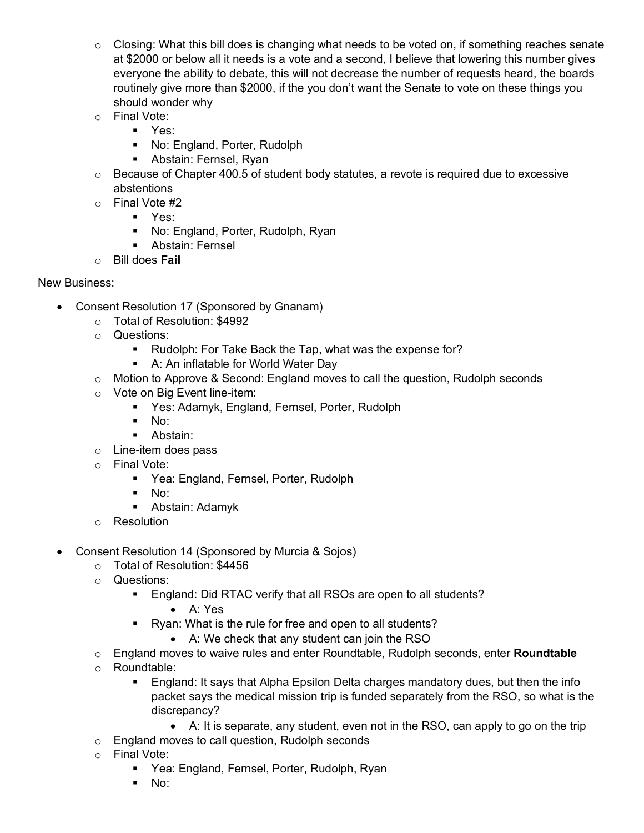- $\circ$  Closing: What this bill does is changing what needs to be voted on, if something reaches senate at \$2000 or below all it needs is a vote and a second, I believe that lowering this number gives everyone the ability to debate, this will not decrease the number of requests heard, the boards routinely give more than \$2000, if the you don't want the Senate to vote on these things you should wonder why
- o Final Vote:
	- Yes:
	- No: England, Porter, Rudolph
	- § Abstain: Fernsel, Ryan
- o Because of Chapter 400.5 of student body statutes, a revote is required due to excessive abstentions
- o Final Vote #2
	- § Yes:
	- § No: England, Porter, Rudolph, Ryan
	- Abstain: Fernsel
- o Bill does **Fail**

## New Business:

- Consent Resolution 17 (Sponsored by Gnanam)
	- o Total of Resolution: \$4992
	- o Questions:
		- Rudolph: For Take Back the Tap, what was the expense for?
		- A: An inflatable for World Water Day
	- o Motion to Approve & Second: England moves to call the question, Rudolph seconds
	- o Vote on Big Event line-item:
		- Yes: Adamyk, England, Fernsel, Porter, Rudolph
		- $\blacksquare$  No:
		- Abstain:
	- o Line-item does pass
	- o Final Vote:
		- Yea: England, Fernsel, Porter, Rudolph
		- § No:
		- § Abstain: Adamyk
	- o Resolution
- Consent Resolution 14 (Sponsored by Murcia & Sojos)
	- o Total of Resolution: \$4456
	- o Questions:
		- England: Did RTAC verify that all RSOs are open to all students?
			- A: Yes
		- Ryan: What is the rule for free and open to all students?
			- A: We check that any student can join the RSO
	- o England moves to waive rules and enter Roundtable, Rudolph seconds, enter **Roundtable**
	- o Roundtable:
		- § England: It says that Alpha Epsilon Delta charges mandatory dues, but then the info packet says the medical mission trip is funded separately from the RSO, so what is the discrepancy?
			- A: It is separate, any student, even not in the RSO, can apply to go on the trip
	- o England moves to call question, Rudolph seconds
	- o Final Vote:
		- § Yea: England, Fernsel, Porter, Rudolph, Ryan
		- $\blacksquare$  No: